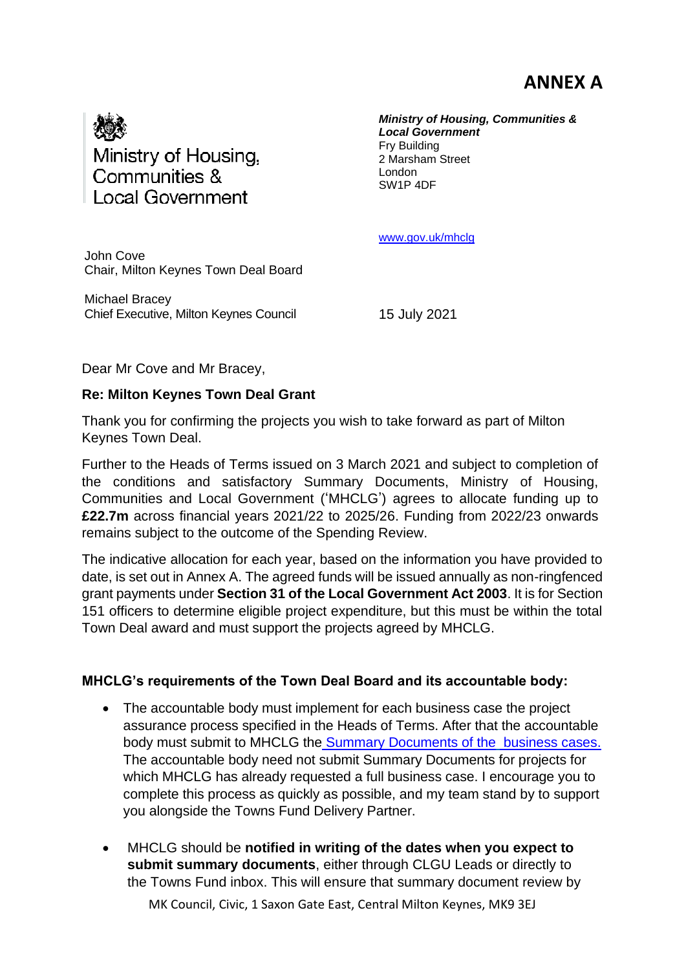## **ANNEX A**



*Ministry of Housing, Communities & Local Government* Fry Building 2 Marsham Street London SW1P 4DF

[www.gov.uk/mhclg](http://www.gov.uk/mhclg)

John Cove Chair, Milton Keynes Town Deal Board

Michael Bracey Chief Executive, Milton Keynes Council

15 July 2021

Dear Mr Cove and Mr Bracey,

## **Re: Milton Keynes Town Deal Grant**

Thank you for confirming the projects you wish to take forward as part of Milton Keynes Town Deal.

Further to the Heads of Terms issued on 3 March 2021 and subject to completion of the conditions and satisfactory Summary Documents, Ministry of Housing, Communities and Local Government ('MHCLG') agrees to allocate funding up to **£22.7m** across financial years 2021/22 to 2025/26. Funding from 2022/23 onwards remains subject to the outcome of the Spending Review.

The indicative allocation for each year, based on the information you have provided to date, is set out in Annex A. The agreed funds will be issued annually as non-ringfenced grant payments under **Section 31 of the Local Government Act 2003**. It is for Section 151 officers to determine eligible project expenditure, but this must be within the total Town Deal award and must support the projects agreed by MHCLG.

## **MHCLG's requirements of the Town Deal Board and its accountable body:**

- The accountable body must implement for each business case the project assurance process specified in the Heads of Terms. After that the accountable body must submit to MHCLG the [Summary Documents of the](https://townsfund.org.uk/resources-collection/mhclg-business-case-guidance) [business cases.](https://townsfund.org.uk/resources-collection/mhclg-business-case-guidance) The accountable body need not submit Summary Documents for projects for which MHCLG has already requested a full business case. I encourage you to complete this process as quickly as possible, and my team stand by to support you alongside the Towns Fund Delivery Partner.
- MHCLG should be **notified in writing of the dates when you expect to submit summary documents**, either through CLGU Leads or directly to the Towns Fund inbox. This will ensure that summary document review by

MK Council, Civic, 1 Saxon Gate East, Central Milton Keynes, MK9 3EJ